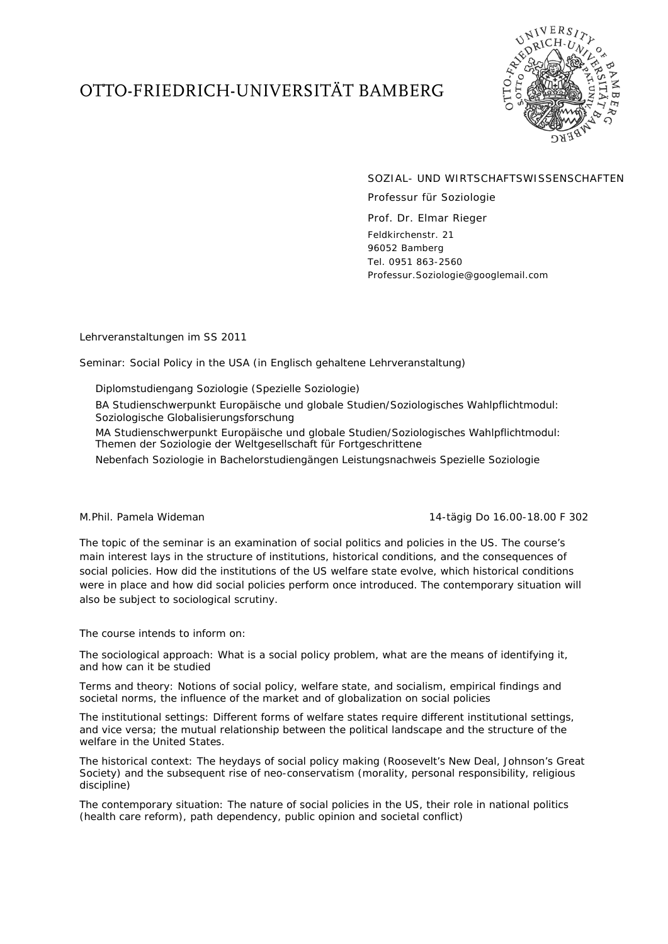## OTTO-FRIEDRICH-UNIVERSITÄT BAMBERG



SOZIAL- UND WIRTSCHAFTSWISSENSCHAFTEN

Professur für Soziologie

*Prof. Dr. Elmar Rieger* Feldkirchenstr. 21 96052 Bamberg Tel. 0951 863-2560 Professur.Soziologie@googlemail.com

## Lehrveranstaltungen im SS 2011

Seminar: Social Policy in the USA (in Englisch gehaltene Lehrveranstaltung)

- Diplomstudiengang Soziologie (Spezielle Soziologie)
- BA Studienschwerpunkt Europäische und globale Studien/Soziologisches Wahlpflichtmodul: Soziologische Globalisierungsforschung

MA Studienschwerpunkt Europäische und globale Studien/Soziologisches Wahlpflichtmodul: Themen der Soziologie der Weltgesellschaft für Fortgeschrittene

Nebenfach Soziologie in Bachelorstudiengängen Leistungsnachweis Spezielle Soziologie

## M.Phil. Pamela Wideman 14-tägig Do 16.00-18.00 F 302

The topic of the seminar is an examination of social politics and policies in the US. The course's main interest lays in the structure of institutions, historical conditions, and the consequences of social policies. How did the institutions of the US welfare state evolve, which historical conditions were in place and how did social policies perform once introduced. The contemporary situation will also be subject to sociological scrutiny.

The course intends to inform on:

The sociological approach: What is a social policy problem, what are the means of identifying it, and how can it be studied

Terms and theory: Notions of social policy, welfare state, and socialism, empirical findings and societal norms, the influence of the market and of globalization on social policies

The institutional settings: Different forms of welfare states require different institutional settings, and vice versa; the mutual relationship between the political landscape and the structure of the welfare in the United States.

The historical context: The heydays of social policy making (Roosevelt's New Deal, Johnson's Great Society) and the subsequent rise of neo-conservatism (morality, personal responsibility, religious discipline)

The contemporary situation: The nature of social policies in the US, their role in national politics (health care reform), path dependency, public opinion and societal conflict)